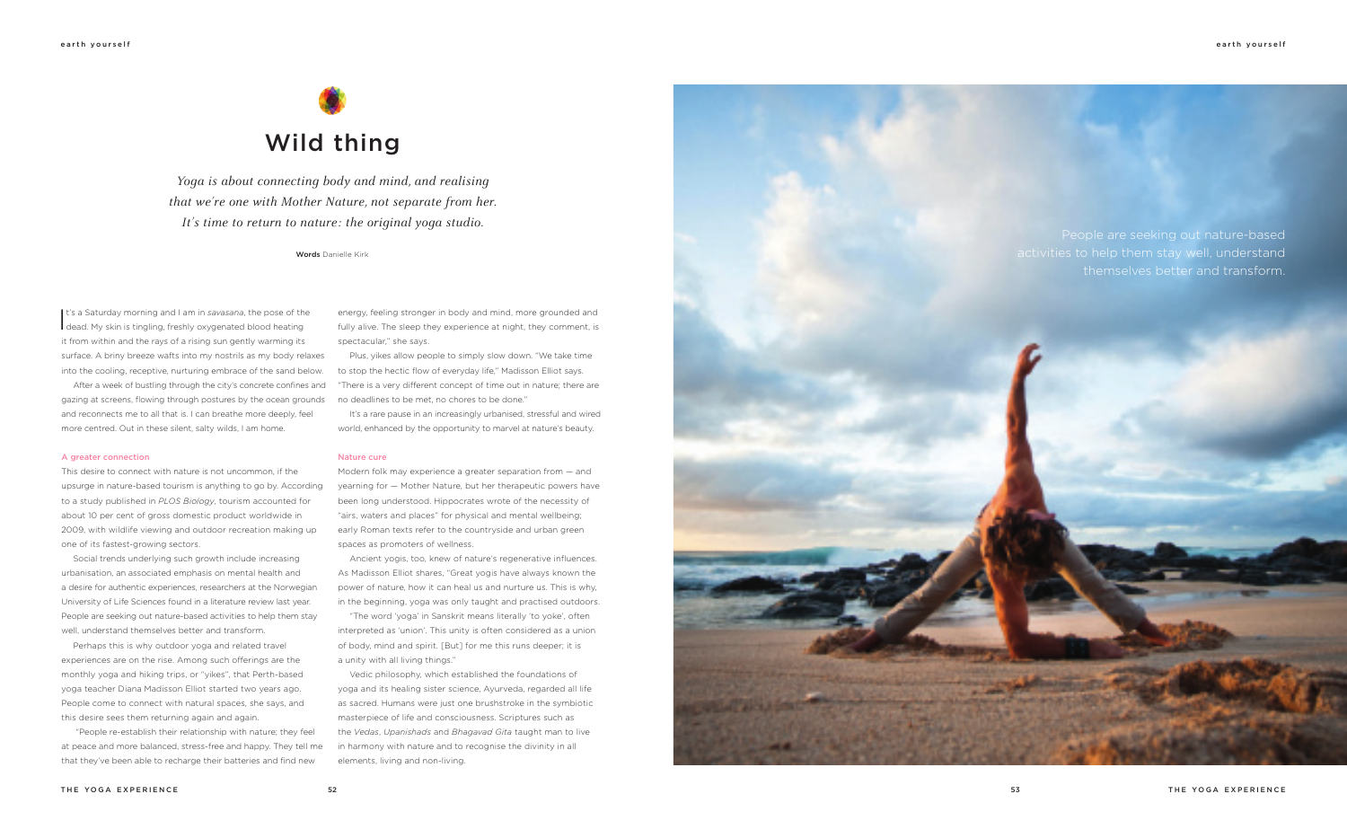*Yoga is about connecting body and mind, and realising that we're one with Mother Nature, not separate from her. It's time to return to nature: the original yoga studio.*

Words Danielle Kirk



People are seeking out nature-based activities to help them stay well, understand themselves better and transform.

It's a Saturday morning and I am in savasana, the pose of the dead. My skin is tingling, freshly oxygenated blood heating t's a Saturday morning and I am in *savasana*, the pose of the it from within and the rays of a rising sun gently warming its surface. A briny breeze wafts into my nostrils as my body relaxes into the cooling, receptive, nurturing embrace of the sand below.

After a week of bustling through the city's concrete confines and gazing at screens, flowing through postures by the ocean grounds and reconnects me to all that is. I can breathe more deeply, feel more centred. Out in these silent, salty wilds, I am home.

#### A greater connection

This desire to connect with nature is not uncommon, if the upsurge in nature-based tourism is anything to go by. According to a study published in *PLOS Biology*, tourism accounted for about 10 per cent of gross domestic product worldwide in 2009, with wildlife viewing and outdoor recreation making up one of its fastest-growing sectors.

Social trends underlying such growth include increasing urbanisation, an associated emphasis on mental health and a desire for authentic experiences, researchers at the Norwegian University of Life Sciences found in a literature review last year. People are seeking out nature-based activities to help them stay well, understand themselves better and transform.

Perhaps this is why outdoor yoga and related travel experiences are on the rise. Among such offerings are the monthly yoga and hiking trips, or "yikes", that Perth-based yoga teacher Diana Madisson Elliot started two years ago. People come to connect with natural spaces, she says, and this desire sees them returning again and again.

 "People re-establish their relationship with nature; they feel at peace and more balanced, stress-free and happy. They tell me that they've been able to recharge their batteries and find new

energy, feeling stronger in body and mind, more grounded and fully alive. The sleep they experience at night, they comment, is spectacular," she says.

Plus, yikes allow people to simply slow down. "We take time to stop the hectic flow of everyday life," Madisson Elliot says. "There is a very different concept of time out in nature; there are no deadlines to be met, no chores to be done."

It's a rare pause in an increasingly urbanised, stressful and wired world, enhanced by the opportunity to marvel at nature's beauty.

#### Nature cure

Modern folk may experience a greater separation from — and yearning for — Mother Nature, but her therapeutic powers have been long understood. Hippocrates wrote of the necessity of "airs, waters and places" for physical and mental wellbeing; early Roman texts refer to the countryside and urban green spaces as promoters of wellness.

Ancient yogis, too, knew of nature's regenerative influences. As Madisson Elliot shares, "Great yogis have always known the power of nature, how it can heal us and nurture us. This is why, in the beginning, yoga was only taught and practised outdoors.

"The word 'yoga' in Sanskrit means literally 'to yoke', often interpreted as 'union'. This unity is often considered as a union of body, mind and spirit. [But] for me this runs deeper; it is a unity with all living things."

Vedic philosophy, which established the foundations of yoga and its healing sister science, Ayurveda, regarded all life as sacred. Humans were just one brushstroke in the symbiotic masterpiece of life and consciousness. Scriptures such as the *Vedas*, *Upanishads* and *Bhagavad Gita* taught man to live in harmony with nature and to recognise the divinity in all elements, living and non-living.

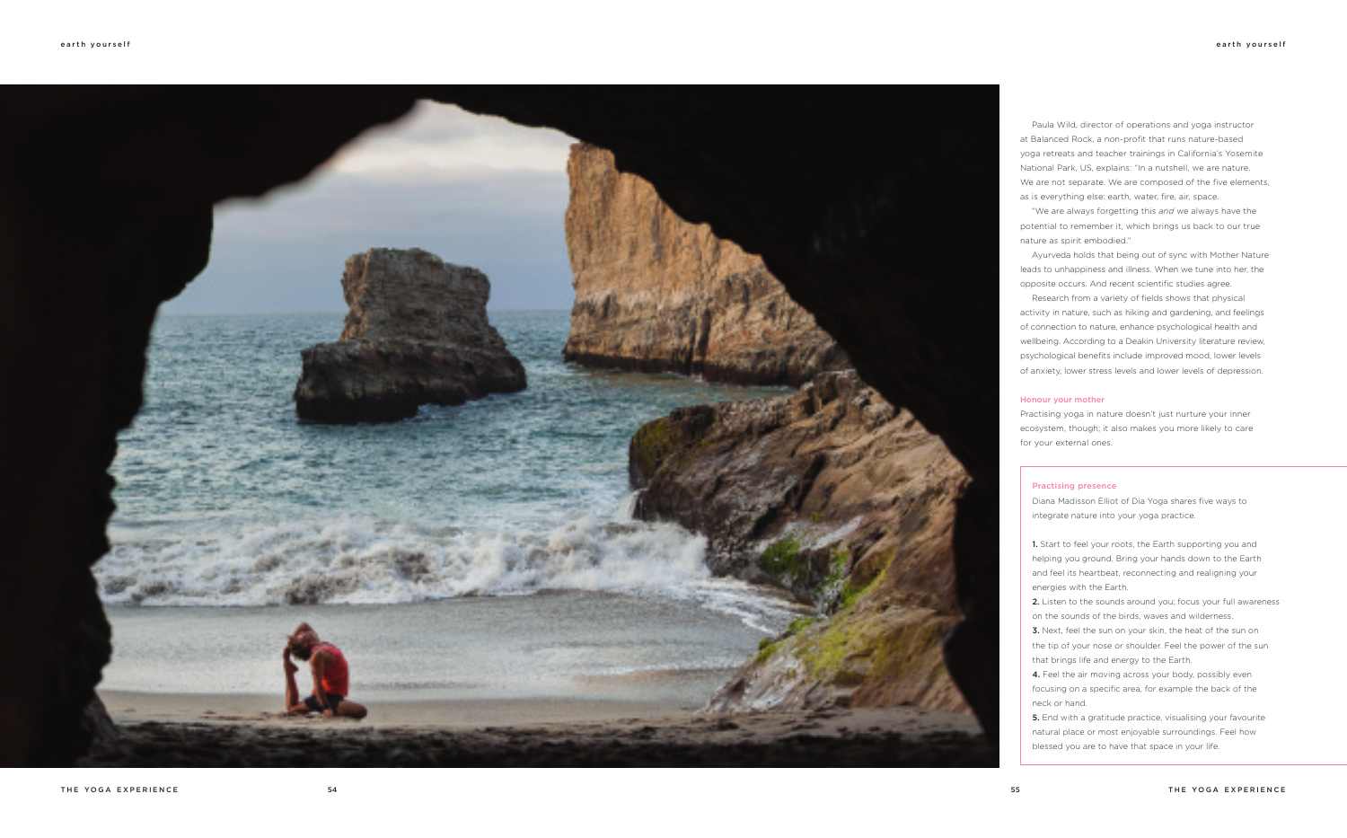Paula Wild, director of operations and yoga instructor at Balanced Rock, a non-profit that runs nature-based yoga retreats and teacher trainings in California's Yosemite National Park, US, explains: "In a nutshell, we are nature. We are not separate. We are composed of the five elements, as is everything else: earth, water, fire, air, space.

"We are always forgetting this *and* we always have the potential to remember it, which brings us back to our true nature as spirit embodied."

Ayurveda holds that being out of sync with Mother Nature leads to unhappiness and illness. When we tune into her, the opposite occurs. And recent scientific studies agree.

1. Start to feel your roots, the Earth supporting you and helping you ground. Bring your hands down to the Earth and feel its heartbeat, reconnecting and realigning your energies with the Earth.

2. Listen to the sounds around you; focus your full awareness on the sounds of the birds, waves and wilderness.

Research from a variety of fields shows that physical activity in nature, such as hiking and gardening, and feelings of connection to nature, enhance psychological health and wellbeing. According to a Deakin University literature review, psychological benefits include improved mood, lower levels of anxiety, lower stress levels and lower levels of depression.

**3.** Next, feel the sun on your skin, the heat of the sun on the tip of your nose or shoulder. Feel the power of the sun that brings life and energy to the Earth.

4. Feel the air moving across your body, possibly even focusing on a specific area, for example the back of the neck or hand.

## Honour your mother

**5.** End with a gratitude practice, visualising your favourite natural place or most enjoyable surroundings. Feel how blessed you are to have that space in your life.

Practising yoga in nature doesn't just nurture your inner ecosystem, though; it also makes you more likely to care for your external ones.

## Practising presence

Diana Madisson Elliot of Dia Yoga shares five ways to integrate nature into your yoga practice.

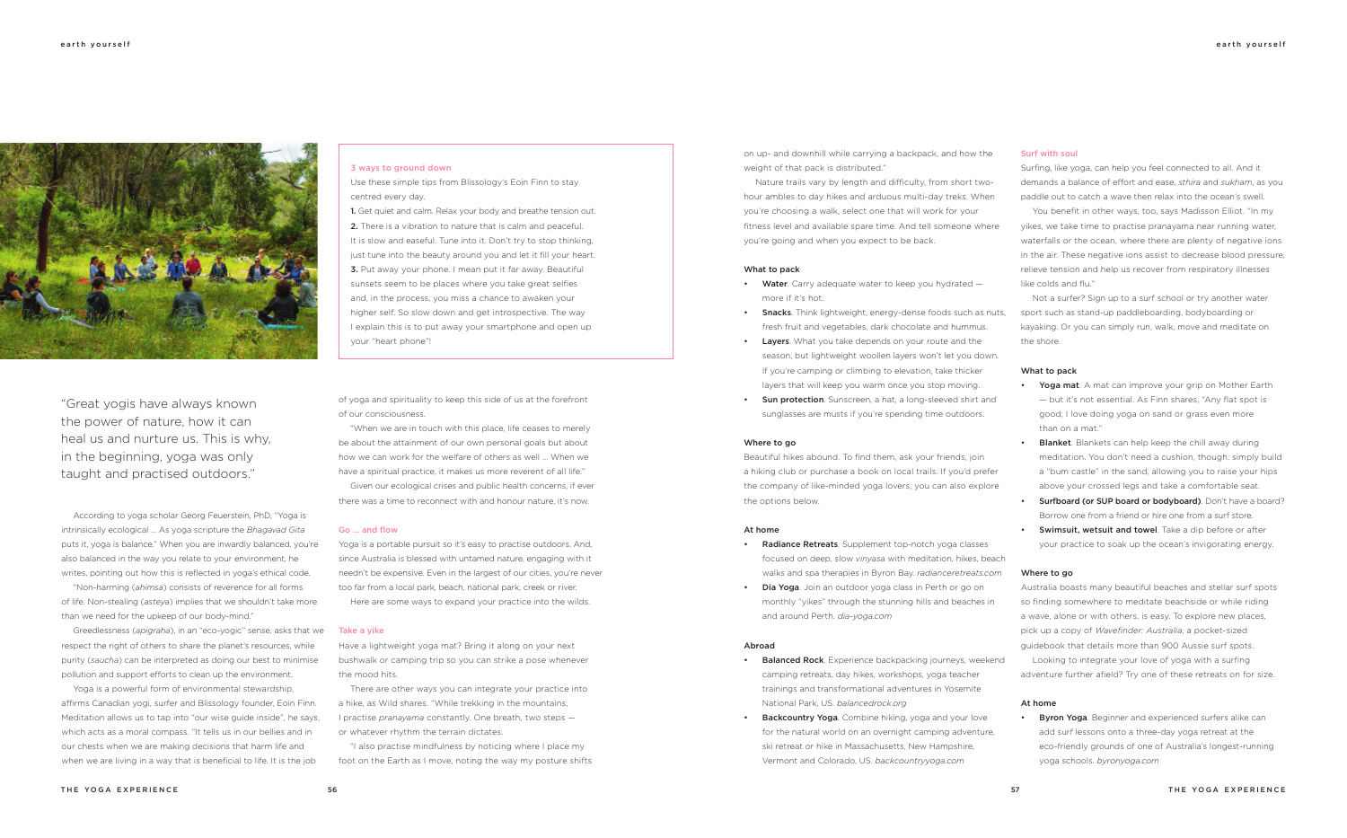on up- and downhill while carrying a backpack, and how the weight of that pack is distributed."

Nature trails vary by length and difficulty, from short twohour ambles to day hikes and arduous multi-day treks. When you're choosing a walk, select one that will work for your fitness level and available spare time. And tell someone where you're going and when you expect to be back.

#### What to pack

- Water. Carry adequate water to keep you hydrated  $$ more if it's hot.
- **Snacks**. Think lightweight, energy-dense foods such as nuts, fresh fruit and vegetables, dark chocolate and hummus.
- Layers. What you take depends on your route and the season, but lightweight woollen layers won't let you down. If you're camping or climbing to elevation, take thicker layers that will keep you warm once you stop moving.
- **Sun protection**. Sunscreen, a hat, a long-sleeved shirt and sunglasses are musts if you're spending time outdoors.

- Radiance Retreats. Supplement top-notch yoga classes focused on deep, slow *vinyasa* with meditation, hikes, beach walks and spa therapies in Byron Bay. *radianceretreats.com*
- Dia Yoga. Join an outdoor yoga class in Perth or go on monthly "yikes" through the stunning hills and beaches in and around Perth. *dia-yoga.com*

#### Where to go

- Balanced Rock. Experience backpacking journeys, weekend camping retreats, day hikes, workshops, yoga teacher trainings and transformational adventures in Yosemite National Park, US. *balancedrock.org*
- **Backcountry Yoga**. Combine hiking, yoga and your love for the natural world on an overnight camping adventure, ski retreat or hike in Massachusetts, New Hampshire, Vermont and Colorado, US. *backcountryyoga.com*

Beautiful hikes abound. To find them, ask your friends, join a hiking club or purchase a book on local trails. If you'd prefer the company of like-minded yoga lovers, you can also explore the options below.

## At home

#### Abroad

- Yoga mat. A mat can improve your grip on Mother Earth — but it's not essential. As Finn shares, "Any flat spot is good; I love doing yoga on sand or grass even more than on a mat."
- Blanket. Blankets can help keep the chill away during meditation. You don't need a cushion, though: simply build a "bum castle" in the sand, allowing you to raise your hips above your crossed legs and take a comfortable seat.
- **Surfboard (or SUP board or bodyboard).** Don't have a board? Borrow one from a friend or hire one from a surf store.
- • Swimsuit, wetsuit and towel. Take a dip before or after your practice to soak up the ocean's invigorating energy.

# Surf with soul

Surfing, like yoga, can help you feel connected to all. And it demands a balance of effort and ease, *sthira* and *sukham*, as you paddle out to catch a wave then relax into the ocean's swell. You benefit in other ways, too, says Madisson Elliot. "In my yikes, we take time to practise pranayama near running water, waterfalls or the ocean, where there are plenty of negative ions in the air. These negative ions assist to decrease blood pressure,

relieve tension and help us recover from respiratory illnesses like colds and flu."

Not a surfer? Sign up to a surf school or try another water sport such as stand-up paddleboarding, bodyboarding or kayaking. Or you can simply run, walk, move and meditate on the shore.

#### What to pack

### Where to go

Australia boasts many beautiful beaches and stellar surf spots so finding somewhere to meditate beachside or while riding a wave, alone or with others, is easy. To explore new places, pick up a copy of *Wavefinder: Australia*, a pocket-sized guidebook that details more than 900 Aussie surf spots.

Looking to integrate your love of yoga with a surfing adventure further afield? Try one of these retreats on for size.

#### At home

• Byron Yoga. Beginner and experienced surfers alike can add surf lessons onto a three-day yoga retreat at the eco-friendly grounds of one of Australia's longest-running yoga schools. *byronyoga.com*

According to yoga scholar Georg Feuerstein, PhD, "Yoga is intrinsically ecological … As yoga scripture the *Bhagavad Gita* puts it, yoga is balance." When you are inwardly balanced, you're also balanced in the way you relate to your environment, he writes, pointing out how this is reflected in yoga's ethical code.

"Non-harming (*ahimsa*) consists of reverence for all forms of life. Non-stealing (*asteya*) implies that we shouldn't take more than we need for the upkeep of our body-mind."

Greedlessness (*apigraha*), in an "eco-yogic" sense, asks that we respect the right of others to share the planet's resources, while purity (*saucha*) can be interpreted as doing our best to minimise pollution and support efforts to clean up the environment.

Yoga is a powerful form of environmental stewardship, affirms Canadian yogi, surfer and Blissology founder, Eoin Finn. Meditation allows us to tap into "our wise guide inside", he says, which acts as a moral compass. "It tells us in our bellies and in our chests when we are making decisions that harm life and when we are living in a way that is beneficial to life. It is the job

of yoga and spirituality to keep this side of us at the forefront of our consciousness.

"When we are in touch with this place, life ceases to merely be about the attainment of our own personal goals but about how we can work for the welfare of others as well … When we have a spiritual practice, it makes us more reverent of all life."

Given our ecological crises and public health concerns, if ever there was a time to reconnect with and honour nature, it's now.

#### Go … and flow

Yoga is a portable pursuit so it's easy to practise outdoors. And, since Australia is blessed with untamed nature, engaging with it needn't be expensive. Even in the largest of our cities, you're never too far from a local park, beach, national park, creek or river.

Here are some ways to expand your practice into the wilds.

#### Take a yike

Have a lightweight yoga mat? Bring it along on your next bushwalk or camping trip so you can strike a pose whenever the mood hits.

There are other ways you can integrate your practice into a hike, as Wild shares. "While trekking in the mountains, I practise *pranayama* constantly. One breath, two steps or whatever rhythm the terrain dictates.

"I also practise mindfulness by noticing where I place my foot on the Earth as I move, noting the way my posture shifts



"Great yogis have always known the power of nature, how it can heal us and nurture us. This is why, in the beginning, yoga was only taught and practised outdoors."

# 3 ways to ground down

Use these simple tips from Blissology's Eoin Finn to stay centred every day.

1. Get quiet and calm. Relax your body and breathe tension out. 2. There is a vibration to nature that is calm and peaceful. It is slow and easeful. Tune into it. Don't try to stop thinking, just tune into the beauty around you and let it fill your heart. 3. Put away your phone. I mean put it far away. Beautiful sunsets seem to be places where you take great selfies and, in the process, you miss a chance to awaken your higher self. So slow down and get introspective. The way I explain this is to put away your smartphone and open up your "heart phone"!